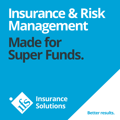# **Insurance & Risk Management Made for Super Funds.**



**Better results.**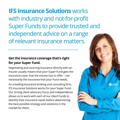**IFS Insurance Solutions** works with industry and not-for-profit Super Funds to provide trusted and independent advice on a range of relevant insurance matters.

#### **Get the insurance coverage that's right for your Super Fund.**

Negotiating and sourcing insurance directly with an insurer usually means that your Super Fund gets the insurance cover that the insurer has to offer – not necessarily the insurance that your Fund needs.

As a leading insurance broking and consulting firm, IFS Insurance Solutions works for your Super Fund. Our strong client advocacy focus and independence allows us to work with each of our client Funds to identify their insurance needs before determining the best possible strategy and solutions in the market for them.

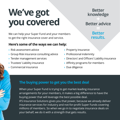## **We've got you covered**

We can help your Super Fund and your members to get the right insurance cover and service.

#### **Here's some of the ways we can help:**

- **›** Risk assessment advice
- **›** Group Risk insurance consulting advice
- **›** Tender management services
- **›** Trustees' Liability insurance
- **›** Commercial insurance

**Better knowledge**

### **Better advice**

### **Better results.**

- **›** Property insurance
- **›** Professional indemnity
- **›** Directors' and Officers' Liability insurance
- **›** Affinity programs for members
- **›** Due diligence

#### **The buying power to get you the best deal**

When your Super Fund is trying to get market-leading insurance arrangements for your members, it makes a big difference to have the buying power that will leverage the best possible deal.

IFS Insurance Solutions gives you that power, because we already deliver insurance services for industry and not-for-profit Super Funds covering millions of members. So when we go in to negotiate insurance deals on your behalf, we do it with a strength that gets results.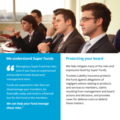

#### **We understand Super Funds Protecting your board**

**Managing a Super Fund has risks,** even if you have an experienced and prudent trustee board and management team.

Funds are exposed to risks that can disadvantage your members, be financially costly, and result in a financial loss for the Fund or the members.

*We can help your Fund manage these risks."*

We help mitigate many of the risks and exposures faced by Super Funds.

Trustees Liability insurance protects the Fund against allegations of negligent advice relating to products and services to members, claims resulting from management and board actions and decisions, and provides cover for defence costs to defend these matters.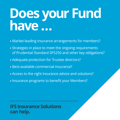# **Does your Fund have …**

- **›** Market-leading insurance arrangements for members?
- **›** Strategies in place to meet the ongoing requirements of Prudential Standard SPS250 and other key obligations?
- **›** Adequate protection for Trustee directors?
- **›** Best-available commercial insurance?
- **›** Access to the right insurance advice and solutions?
- **›** Insurance programs to benefit your Members?

**IFS Insurance Solutions can help.**